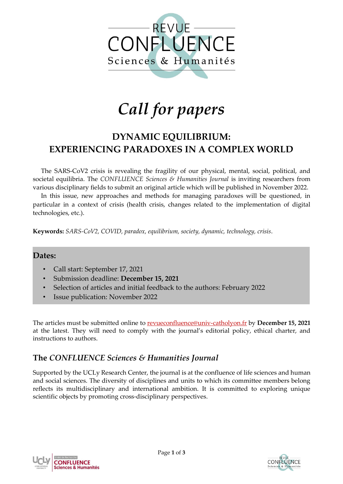

# *Call for papers*

# **DYNAMIC EQUILIBRIUM: EXPERIENCING PARADOXES IN A COMPLEX WORLD**

The SARS-CoV2 crisis is revealing the fragility of our physical, mental, social, political, and societal equilibria. The *CONFLUENCE Sciences & Humanities Journal* is inviting researchers from various disciplinary fields to submit an original article which will be published in November 2022.

In this issue, new approaches and methods for managing paradoxes will be questioned, in particular in a context of crisis (health crisis, changes related to the implementation of digital technologies, etc.).

**Keywords:** *SARS-CoV2, COVID, paradox, equilibrium, society, dynamic, technology, crisis*.

#### **Dates:**

- Call start: September 17, 2021
- Submission deadline: **December 15, 2021**
- Selection of articles and initial feedback to the authors: February 2022
- Issue publication: November 2022

The articles must be submitted online to [revueconfluence@univ-catholyon.fr](mailto:revueconfluence@univ-catholyon.fr) by **December 15, 2021** at the latest. They will need to comply with the journal's editorial policy, ethical charter, and instructions to authors.

## **The** *CONFLUENCE Sciences & Humanities Journal*

Supported by the UCLy Research Center, the journal is at the confluence of life sciences and human and social sciences. The diversity of disciplines and units to which its committee members belong reflects its multidisciplinary and international ambition. It is committed to exploring unique scientific objects by promoting cross-disciplinary perspectives.



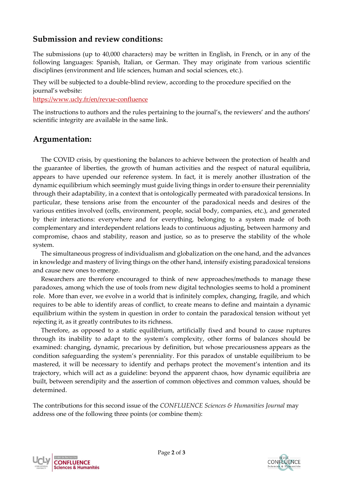## **Submission and review conditions:**

The submissions (up to 40,000 characters) may be written in English, in French, or in any of the following languages: Spanish, Italian, or German. They may originate from various scientific disciplines (environment and life sciences, human and social sciences, etc.).

They will be subjected to a double-blind review, according to the procedure specified on the journal's website:

<https://www.ucly.fr/en/revue-confluence>

The instructions to authors and the rules pertaining to the journal's, the reviewers' and the authors' scientific integrity are available in the same link.

## **Argumentation:**

The COVID crisis, by questioning the balances to achieve between the protection of health and the guarantee of liberties, the growth of human activities and the respect of natural equilibria, appears to have upended our reference system. In fact, it is merely another illustration of the dynamic equilibrium which seemingly must guide living things in order to ensure their perenniality through their adaptability, in a context that is ontologically permeated with paradoxical tensions. In particular, these tensions arise from the encounter of the paradoxical needs and desires of the various entities involved (cells, environment, people, social body, companies, etc.), and generated by their interactions: everywhere and for everything, belonging to a system made of both complementary and interdependent relations leads to continuous adjusting, between harmony and compromise, chaos and stability, reason and justice, so as to preserve the stability of the whole system.

The simultaneous progress of individualism and globalization on the one hand, and the advances in knowledge and mastery of living things on the other hand, intensify existing paradoxical tensions and cause new ones to emerge.

Researchers are therefore encouraged to think of new approaches/methods to manage these paradoxes, among which the use of tools from new digital technologies seems to hold a prominent role. More than ever, we evolve in a world that is infinitely complex, changing, fragile, and which requires to be able to identify areas of conflict, to create means to define and maintain a dynamic equilibrium within the system in question in order to contain the paradoxical tension without yet rejecting it, as it greatly contributes to its richness.

Therefore, as opposed to a static equilibrium, artificially fixed and bound to cause ruptures through its inability to adapt to the system's complexity, other forms of balances should be examined: changing, dynamic, precarious by definition, but whose precariousness appears as the condition safeguarding the system's perenniality. For this paradox of unstable equilibrium to be mastered, it will be necessary to identify and perhaps protect the movement's intention and its trajectory, which will act as a guideline: beyond the apparent chaos, how dynamic equilibria are built, between serendipity and the assertion of common objectives and common values, should be determined.

The contributions for this second issue of the *CONFLUENCE Sciences & Humanities Journal* may address one of the following three points (or combine them):